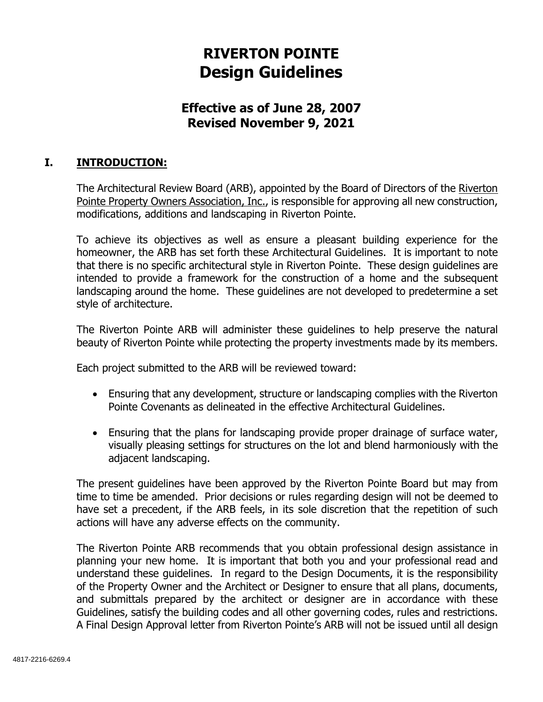# **RIVERTON POINTE Design Guidelines**

# **Effective as of June 28, 2007 Revised November 9, 2021**

# **I. INTRODUCTION:**

The Architectural Review Board (ARB), appointed by the Board of Directors of the Riverton Pointe Property Owners Association, Inc., is responsible for approving all new construction, modifications, additions and landscaping in Riverton Pointe.

To achieve its objectives as well as ensure a pleasant building experience for the homeowner, the ARB has set forth these Architectural Guidelines. It is important to note that there is no specific architectural style in Riverton Pointe. These design guidelines are intended to provide a framework for the construction of a home and the subsequent landscaping around the home. These guidelines are not developed to predetermine a set style of architecture.

The Riverton Pointe ARB will administer these guidelines to help preserve the natural beauty of Riverton Pointe while protecting the property investments made by its members.

Each project submitted to the ARB will be reviewed toward:

- Ensuring that any development, structure or landscaping complies with the Riverton Pointe Covenants as delineated in the effective Architectural Guidelines.
- Ensuring that the plans for landscaping provide proper drainage of surface water, visually pleasing settings for structures on the lot and blend harmoniously with the adjacent landscaping.

The present guidelines have been approved by the Riverton Pointe Board but may from time to time be amended. Prior decisions or rules regarding design will not be deemed to have set a precedent, if the ARB feels, in its sole discretion that the repetition of such actions will have any adverse effects on the community.

The Riverton Pointe ARB recommends that you obtain professional design assistance in planning your new home. It is important that both you and your professional read and understand these guidelines. In regard to the Design Documents, it is the responsibility of the Property Owner and the Architect or Designer to ensure that all plans, documents, and submittals prepared by the architect or designer are in accordance with these Guidelines, satisfy the building codes and all other governing codes, rules and restrictions. A Final Design Approval letter from Riverton Pointe's ARB will not be issued until all design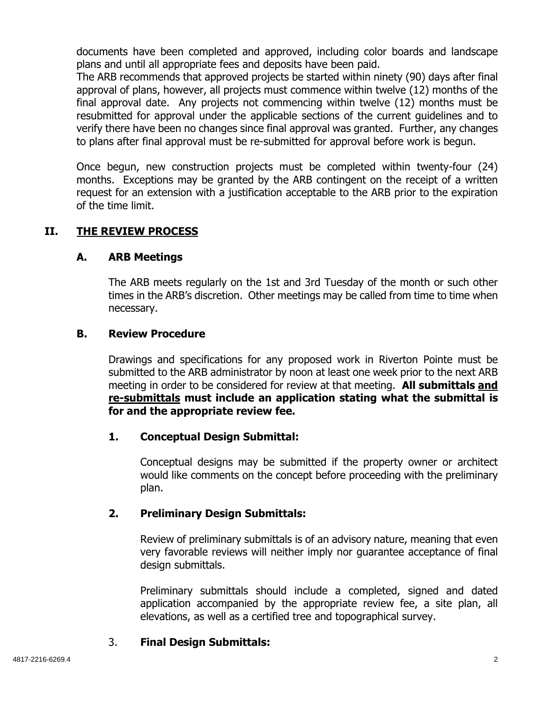documents have been completed and approved, including color boards and landscape plans and until all appropriate fees and deposits have been paid.

The ARB recommends that approved projects be started within ninety (90) days after final approval of plans, however, all projects must commence within twelve (12) months of the final approval date. Any projects not commencing within twelve (12) months must be resubmitted for approval under the applicable sections of the current guidelines and to verify there have been no changes since final approval was granted. Further, any changes to plans after final approval must be re-submitted for approval before work is begun.

Once begun, new construction projects must be completed within twenty-four (24) months. Exceptions may be granted by the ARB contingent on the receipt of a written request for an extension with a justification acceptable to the ARB prior to the expiration of the time limit.

## **II. THE REVIEW PROCESS**

## **A. ARB Meetings**

The ARB meets regularly on the 1st and 3rd Tuesday of the month or such other times in the ARB's discretion. Other meetings may be called from time to time when necessary.

#### **B. Review Procedure**

Drawings and specifications for any proposed work in Riverton Pointe must be submitted to the ARB administrator by noon at least one week prior to the next ARB meeting in order to be considered for review at that meeting. **All submittals and re-submittals must include an application stating what the submittal is for and the appropriate review fee.** 

## **1. Conceptual Design Submittal:**

Conceptual designs may be submitted if the property owner or architect would like comments on the concept before proceeding with the preliminary plan.

## **2. Preliminary Design Submittals:**

Review of preliminary submittals is of an advisory nature, meaning that even very favorable reviews will neither imply nor guarantee acceptance of final design submittals.

Preliminary submittals should include a completed, signed and dated application accompanied by the appropriate review fee, a site plan, all elevations, as well as a certified tree and topographical survey.

## 3. **Final Design Submittals:**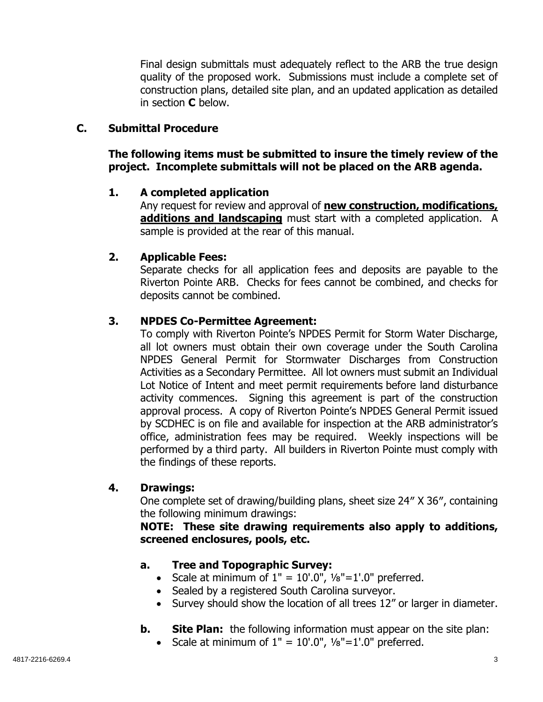Final design submittals must adequately reflect to the ARB the true design quality of the proposed work. Submissions must include a complete set of construction plans, detailed site plan, and an updated application as detailed in section **C** below.

## **C. Submittal Procedure**

**The following items must be submitted to insure the timely review of the project. Incomplete submittals will not be placed on the ARB agenda.** 

#### **1. A completed application**

Any request for review and approval of **new construction, modifications, additions and landscaping** must start with a completed application. A sample is provided at the rear of this manual.

#### **2. Applicable Fees:**

Separate checks for all application fees and deposits are payable to the Riverton Pointe ARB. Checks for fees cannot be combined, and checks for deposits cannot be combined.

#### **3. NPDES Co-Permittee Agreement:**

To comply with Riverton Pointe's NPDES Permit for Storm Water Discharge, all lot owners must obtain their own coverage under the South Carolina NPDES General Permit for Stormwater Discharges from Construction Activities as a Secondary Permittee. All lot owners must submit an Individual Lot Notice of Intent and meet permit requirements before land disturbance activity commences. Signing this agreement is part of the construction approval process. A copy of Riverton Pointe's NPDES General Permit issued by SCDHEC is on file and available for inspection at the ARB administrator's office, administration fees may be required. Weekly inspections will be performed by a third party. All builders in Riverton Pointe must comply with the findings of these reports.

#### **4. Drawings:**

One complete set of drawing/building plans, sheet size 24″ X 36″, containing the following minimum drawings:

**NOTE: These site drawing requirements also apply to additions, screened enclosures, pools, etc.** 

## **a. Tree and Topographic Survey:**

- Scale at minimum of  $1'' = 10'.0''$ ,  $\frac{1}{8}$  = 1'.0" preferred.
- Sealed by a registered South Carolina surveyor.
- Survey should show the location of all trees 12" or larger in diameter.
- **b.** Site Plan: the following information must appear on the site plan:
	- Scale at minimum of  $1'' = 10'.0''$ ,  $\frac{1}{8}$  = 1'.0" preferred.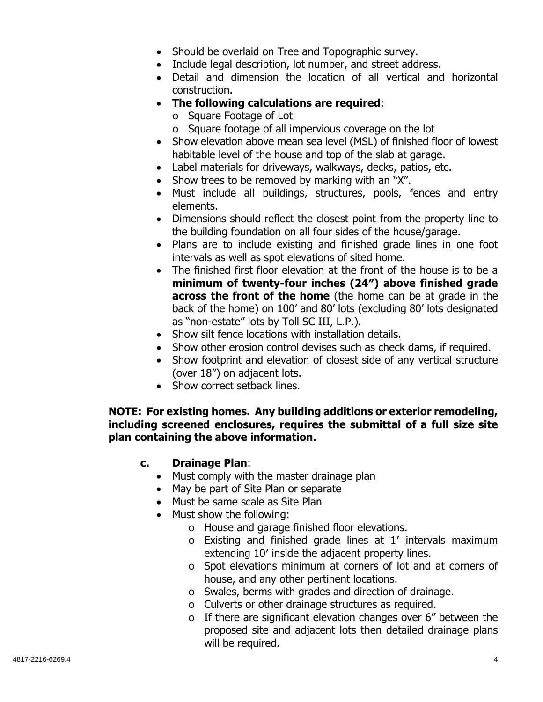- Should be overlaid on Tree and Topographic survey.
- Include legal description, lot number, and street address.
- Detail and dimension the location of all vertical and horizontal construction.
- **The following calculations are required**:
	- o Square Footage of Lot
	- o Square footage of all impervious coverage on the lot
- Show elevation above mean sea level (MSL) of finished floor of lowest habitable level of the house and top of the slab at garage.
- Label materials for driveways, walkways, decks, patios, etc.
- Show trees to be removed by marking with an "X".
- Must include all buildings, structures, pools, fences and entry elements.
- Dimensions should reflect the closest point from the property line to the building foundation on all four sides of the house/garage.
- Plans are to include existing and finished grade lines in one foot intervals as well as spot elevations of sited home.
- The finished first floor elevation at the front of the house is to be a **minimum of twenty-four inches (24″) above finished grade across the front of the home** (the home can be at grade in the back of the home) on 100' and 80' lots (excluding 80' lots designated as "non-estate" lots by Toll SC III, L.P.).
- Show silt fence locations with installation details.
- Show other erosion control devises such as check dams, if required.
- Show footprint and elevation of closest side of any vertical structure (over 18") on adjacent lots.
- Show correct setback lines.

## **NOTE: For existing homes. Any building additions or exterior remodeling, including screened enclosures, requires the submittal of a full size site plan containing the above information.**

# **c. Drainage Plan**:

- Must comply with the master drainage plan
- May be part of Site Plan or separate
- Must be same scale as Site Plan
- Must show the following:
	- o House and garage finished floor elevations.
	- o Existing and finished grade lines at 1′ intervals maximum extending 10′ inside the adjacent property lines.
	- o Spot elevations minimum at corners of lot and at corners of house, and any other pertinent locations.
	- o Swales, berms with grades and direction of drainage.
	- o Culverts or other drainage structures as required.
	- $\circ$  If there are significant elevation changes over 6" between the proposed site and adjacent lots then detailed drainage plans will be required.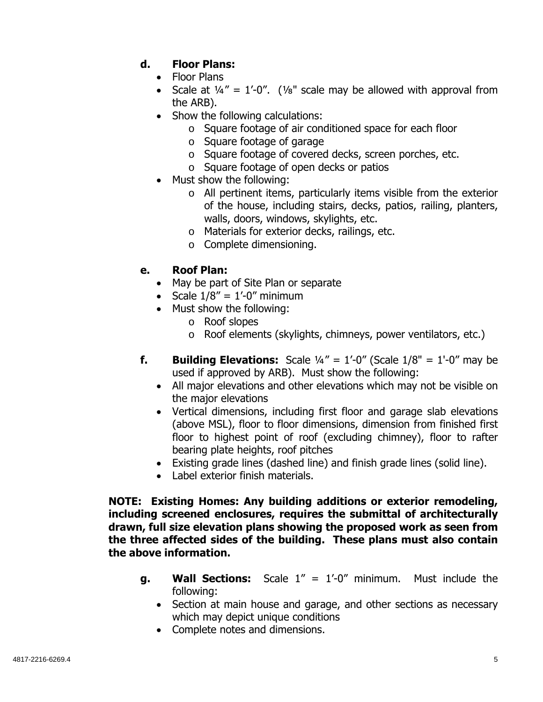# **d. Floor Plans:**

- Floor Plans
- Scale at  $\frac{1}{4}$ " = 1'-0". (1/<sub>8</sub>" scale may be allowed with approval from the ARB).
- Show the following calculations:
	- o Square footage of air conditioned space for each floor
	- o Square footage of garage
	- o Square footage of covered decks, screen porches, etc.
	- o Square footage of open decks or patios
- Must show the following:
	- o All pertinent items, particularly items visible from the exterior of the house, including stairs, decks, patios, railing, planters, walls, doors, windows, skylights, etc.
	- o Materials for exterior decks, railings, etc.
	- o Complete dimensioning.

## **e. Roof Plan:**

- May be part of Site Plan or separate
- Scale  $1/8'' = 1'-0''$  minimum
- Must show the following:
	- o Roof slopes
	- o Roof elements (skylights, chimneys, power ventilators, etc.)
- **f.** Building Elevations: Scale  $\frac{1}{4}$ " = 1'-0" (Scale  $\frac{1}{8}$ " = 1'-0" may be used if approved by ARB). Must show the following:
	- All major elevations and other elevations which may not be visible on the major elevations
	- Vertical dimensions, including first floor and garage slab elevations (above MSL), floor to floor dimensions, dimension from finished first floor to highest point of roof (excluding chimney), floor to rafter bearing plate heights, roof pitches
	- Existing grade lines (dashed line) and finish grade lines (solid line).
	- Label exterior finish materials.

**NOTE: Existing Homes: Any building additions or exterior remodeling, including screened enclosures, requires the submittal of architecturally drawn, full size elevation plans showing the proposed work as seen from the three affected sides of the building. These plans must also contain the above information.** 

- **g. Wall Sections:** Scale 1" = 1'-0" minimum. Must include the following:
	- Section at main house and garage, and other sections as necessary which may depict unique conditions
	- Complete notes and dimensions.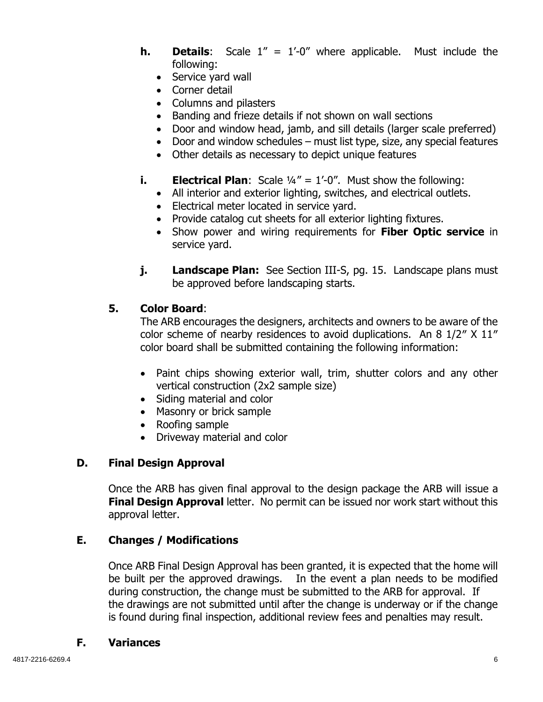- **h. Details**: Scale 1" = 1'-0" where applicable. Must include the following:
	- Service yard wall
	- Corner detail
	- Columns and pilasters
	- Banding and frieze details if not shown on wall sections
	- Door and window head, jamb, and sill details (larger scale preferred)
	- Door and window schedules must list type, size, any special features
	- Other details as necessary to depict unique features
- **i. Electrical Plan**: Scale  $\frac{1}{4}$ " = 1'-0". Must show the following:
	- All interior and exterior lighting, switches, and electrical outlets.
	- Electrical meter located in service yard.
	- Provide catalog cut sheets for all exterior lighting fixtures.
	- Show power and wiring requirements for **Fiber Optic service** in service yard.
- **j. Landscape Plan:** See Section III-S, pg. 15. Landscape plans must be approved before landscaping starts.

## **5. Color Board**:

The ARB encourages the designers, architects and owners to be aware of the color scheme of nearby residences to avoid duplications. An 8 1/2″ X 11″ color board shall be submitted containing the following information:

- Paint chips showing exterior wall, trim, shutter colors and any other vertical construction (2x2 sample size)
- Siding material and color
- Masonry or brick sample
- Roofing sample
- Driveway material and color

## **D. Final Design Approval**

Once the ARB has given final approval to the design package the ARB will issue a **Final Design Approval** letter. No permit can be issued nor work start without this approval letter.

## **E. Changes / Modifications**

Once ARB Final Design Approval has been granted, it is expected that the home will be built per the approved drawings. In the event a plan needs to be modified during construction, the change must be submitted to the ARB for approval. If the drawings are not submitted until after the change is underway or if the change is found during final inspection, additional review fees and penalties may result.

## **F. Variances**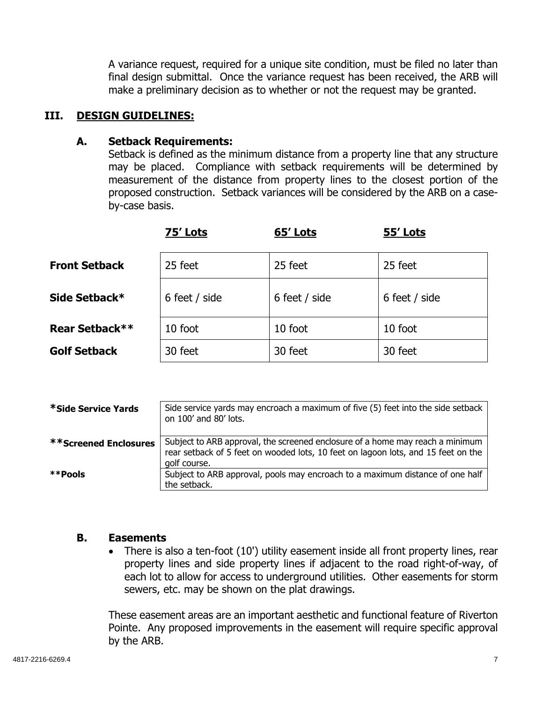A variance request, required for a unique site condition, must be filed no later than final design submittal. Once the variance request has been received, the ARB will make a preliminary decision as to whether or not the request may be granted.

#### **III. DESIGN GUIDELINES:**

#### **A. Setback Requirements:**

Setback is defined as the minimum distance from a property line that any structure may be placed. Compliance with setback requirements will be determined by measurement of the distance from property lines to the closest portion of the proposed construction. Setback variances will be considered by the ARB on a caseby-case basis.

|                      | 75' Lots      | 65' Lots      | 55' Lots      |
|----------------------|---------------|---------------|---------------|
| <b>Front Setback</b> | 25 feet       | 25 feet       | 25 feet       |
| Side Setback*        | 6 feet / side | 6 feet / side | 6 feet / side |
| Rear Setback**       | 10 foot       | 10 foot       | 10 foot       |
| <b>Golf Setback</b>  | 30 feet       | 30 feet       | 30 feet       |

| *Side Service Yards          | Side service yards may encroach a maximum of five (5) feet into the side setback<br>on 100' and 80' lots.                                                                          |
|------------------------------|------------------------------------------------------------------------------------------------------------------------------------------------------------------------------------|
| <b>**Screened Enclosures</b> | Subject to ARB approval, the screened enclosure of a home may reach a minimum<br>rear setback of 5 feet on wooded lots, 10 feet on lagoon lots, and 15 feet on the<br>golf course. |
| **Pools                      | Subject to ARB approval, pools may encroach to a maximum distance of one half<br>the setback.                                                                                      |

#### **B. Easements**

• There is also a ten-foot (10') utility easement inside all front property lines, rear property lines and side property lines if adjacent to the road right-of-way, of each lot to allow for access to underground utilities. Other easements for storm sewers, etc. may be shown on the plat drawings.

These easement areas are an important aesthetic and functional feature of Riverton Pointe. Any proposed improvements in the easement will require specific approval by the ARB.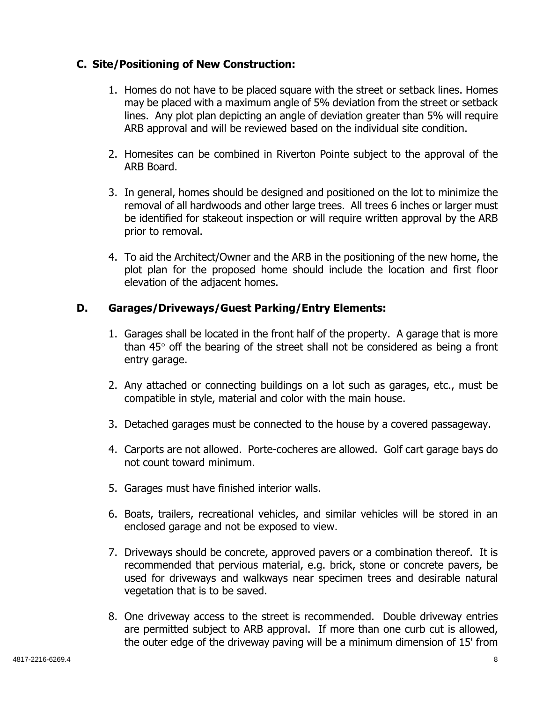## **C. Site/Positioning of New Construction:**

- 1. Homes do not have to be placed square with the street or setback lines. Homes may be placed with a maximum angle of 5% deviation from the street or setback lines. Any plot plan depicting an angle of deviation greater than 5% will require ARB approval and will be reviewed based on the individual site condition.
- 2. Homesites can be combined in Riverton Pointe subject to the approval of the ARB Board.
- 3. In general, homes should be designed and positioned on the lot to minimize the removal of all hardwoods and other large trees. All trees 6 inches or larger must be identified for stakeout inspection or will require written approval by the ARB prior to removal.
- 4. To aid the Architect/Owner and the ARB in the positioning of the new home, the plot plan for the proposed home should include the location and first floor elevation of the adjacent homes.

## **D. Garages/Driveways/Guest Parking/Entry Elements:**

- 1. Garages shall be located in the front half of the property. A garage that is more than  $45^{\circ}$  off the bearing of the street shall not be considered as being a front entry garage.
- 2. Any attached or connecting buildings on a lot such as garages, etc., must be compatible in style, material and color with the main house.
- 3. Detached garages must be connected to the house by a covered passageway.
- 4. Carports are not allowed. Porte-cocheres are allowed. Golf cart garage bays do not count toward minimum.
- 5. Garages must have finished interior walls.
- 6. Boats, trailers, recreational vehicles, and similar vehicles will be stored in an enclosed garage and not be exposed to view.
- 7. Driveways should be concrete, approved pavers or a combination thereof. It is recommended that pervious material, e.g. brick, stone or concrete pavers, be used for driveways and walkways near specimen trees and desirable natural vegetation that is to be saved.
- 8. One driveway access to the street is recommended. Double driveway entries are permitted subject to ARB approval. If more than one curb cut is allowed, the outer edge of the driveway paving will be a minimum dimension of 15' from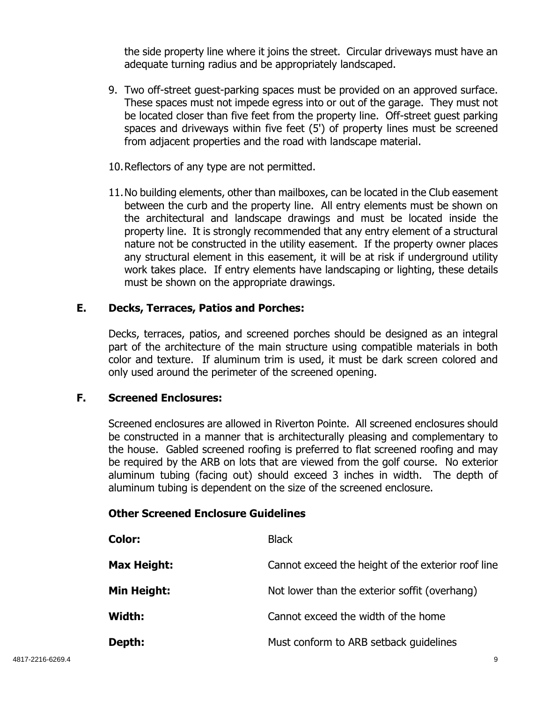the side property line where it joins the street. Circular driveways must have an adequate turning radius and be appropriately landscaped.

- 9. Two off-street guest-parking spaces must be provided on an approved surface. These spaces must not impede egress into or out of the garage. They must not be located closer than five feet from the property line. Off-street guest parking spaces and driveways within five feet (5') of property lines must be screened from adjacent properties and the road with landscape material.
- 10.Reflectors of any type are not permitted.
- 11.No building elements, other than mailboxes, can be located in the Club easement between the curb and the property line. All entry elements must be shown on the architectural and landscape drawings and must be located inside the property line. It is strongly recommended that any entry element of a structural nature not be constructed in the utility easement. If the property owner places any structural element in this easement, it will be at risk if underground utility work takes place. If entry elements have landscaping or lighting, these details must be shown on the appropriate drawings.

#### **E. Decks, Terraces, Patios and Porches:**

Decks, terraces, patios, and screened porches should be designed as an integral part of the architecture of the main structure using compatible materials in both color and texture. If aluminum trim is used, it must be dark screen colored and only used around the perimeter of the screened opening.

#### **F. Screened Enclosures:**

Screened enclosures are allowed in Riverton Pointe. All screened enclosures should be constructed in a manner that is architecturally pleasing and complementary to the house. Gabled screened roofing is preferred to flat screened roofing and may be required by the ARB on lots that are viewed from the golf course. No exterior aluminum tubing (facing out) should exceed 3 inches in width. The depth of aluminum tubing is dependent on the size of the screened enclosure.

## **Other Screened Enclosure Guidelines**

| <b>Color:</b> | <b>Black</b>                                       |
|---------------|----------------------------------------------------|
| Max Height:   | Cannot exceed the height of the exterior roof line |
| Min Height:   | Not lower than the exterior soffit (overhang)      |
| Width:        | Cannot exceed the width of the home                |
| Depth:        | Must conform to ARB setback guidelines             |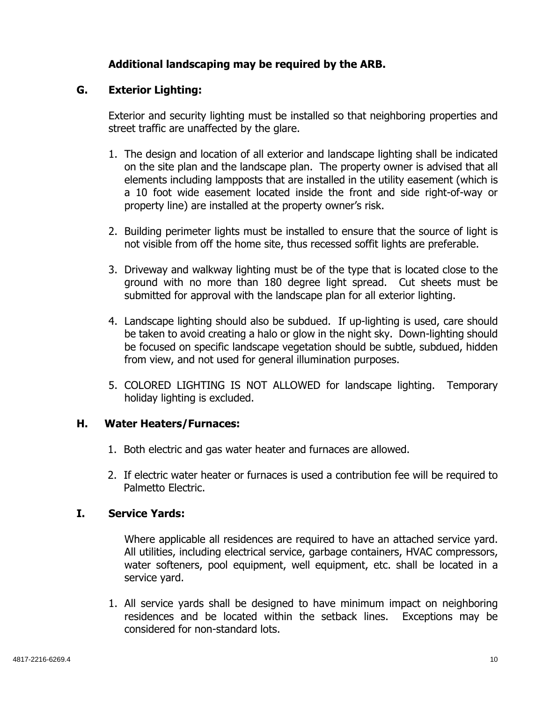## **Additional landscaping may be required by the ARB.**

#### **G. Exterior Lighting:**

Exterior and security lighting must be installed so that neighboring properties and street traffic are unaffected by the glare.

- 1. The design and location of all exterior and landscape lighting shall be indicated on the site plan and the landscape plan. The property owner is advised that all elements including lampposts that are installed in the utility easement (which is a 10 foot wide easement located inside the front and side right-of-way or property line) are installed at the property owner's risk.
- 2. Building perimeter lights must be installed to ensure that the source of light is not visible from off the home site, thus recessed soffit lights are preferable.
- 3. Driveway and walkway lighting must be of the type that is located close to the ground with no more than 180 degree light spread. Cut sheets must be submitted for approval with the landscape plan for all exterior lighting.
- 4. Landscape lighting should also be subdued. If up-lighting is used, care should be taken to avoid creating a halo or glow in the night sky. Down-lighting should be focused on specific landscape vegetation should be subtle, subdued, hidden from view, and not used for general illumination purposes.
- 5. COLORED LIGHTING IS NOT ALLOWED for landscape lighting. Temporary holiday lighting is excluded.

## **H. Water Heaters/Furnaces:**

- 1. Both electric and gas water heater and furnaces are allowed.
- 2. If electric water heater or furnaces is used a contribution fee will be required to Palmetto Electric.

## **I. Service Yards:**

 Where applicable all residences are required to have an attached service yard. All utilities, including electrical service, garbage containers, HVAC compressors, water softeners, pool equipment, well equipment, etc. shall be located in a service yard.

1. All service yards shall be designed to have minimum impact on neighboring residences and be located within the setback lines. Exceptions may be considered for non-standard lots.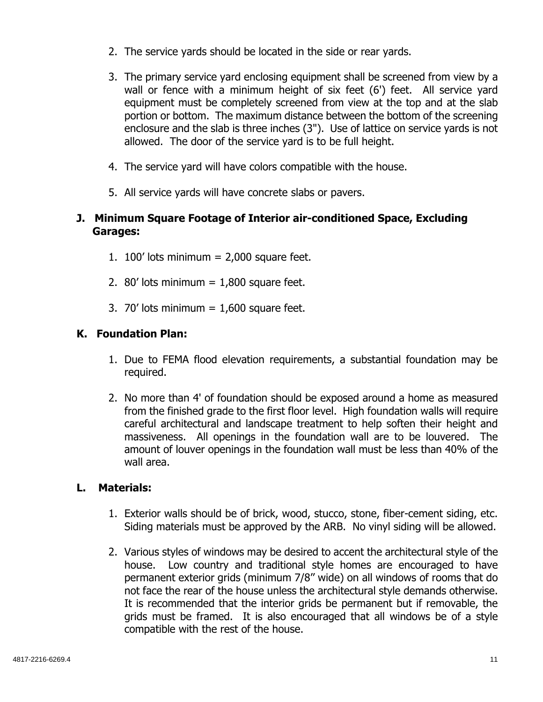- 2. The service yards should be located in the side or rear yards.
- 3. The primary service yard enclosing equipment shall be screened from view by a wall or fence with a minimum height of six feet (6') feet. All service yard equipment must be completely screened from view at the top and at the slab portion or bottom. The maximum distance between the bottom of the screening enclosure and the slab is three inches (3"). Use of lattice on service yards is not allowed. The door of the service yard is to be full height.
- 4. The service yard will have colors compatible with the house.
- 5. All service yards will have concrete slabs or pavers.

## **J. Minimum Square Footage of Interior air-conditioned Space, Excluding Garages:**

- 1. 100' lots minimum  $= 2,000$  square feet.
- 2. 80' lots minimum  $= 1,800$  square feet.
- 3. 70' lots minimum  $= 1,600$  square feet.

## **K. Foundation Plan:**

- 1. Due to FEMA flood elevation requirements, a substantial foundation may be required.
- 2. No more than 4' of foundation should be exposed around a home as measured from the finished grade to the first floor level. High foundation walls will require careful architectural and landscape treatment to help soften their height and massiveness. All openings in the foundation wall are to be louvered. The amount of louver openings in the foundation wall must be less than 40% of the wall area.

#### **L. Materials:**

- 1. Exterior walls should be of brick, wood, stucco, stone, fiber-cement siding, etc. Siding materials must be approved by the ARB. No vinyl siding will be allowed.
- 2. Various styles of windows may be desired to accent the architectural style of the house. Low country and traditional style homes are encouraged to have permanent exterior grids (minimum 7/8'' wide) on all windows of rooms that do not face the rear of the house unless the architectural style demands otherwise. It is recommended that the interior grids be permanent but if removable, the grids must be framed. It is also encouraged that all windows be of a style compatible with the rest of the house.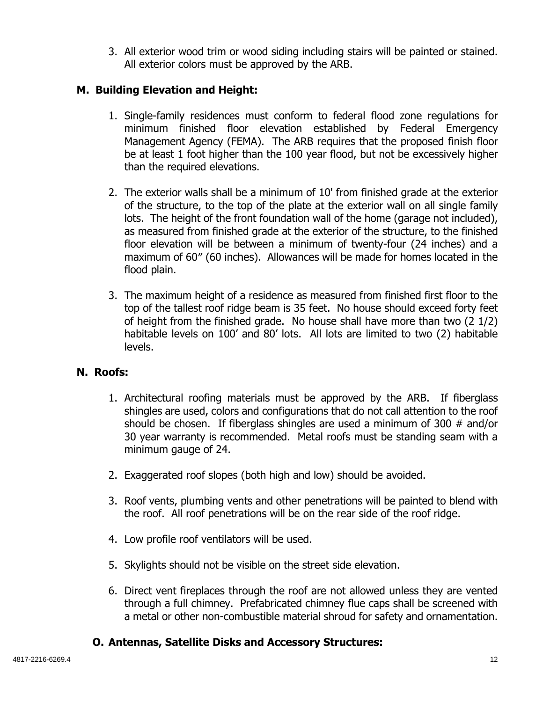3. All exterior wood trim or wood siding including stairs will be painted or stained. All exterior colors must be approved by the ARB.

## **M. Building Elevation and Height:**

- 1. Single-family residences must conform to federal flood zone regulations for minimum finished floor elevation established by Federal Emergency Management Agency (FEMA). The ARB requires that the proposed finish floor be at least 1 foot higher than the 100 year flood, but not be excessively higher than the required elevations.
- 2. The exterior walls shall be a minimum of 10' from finished grade at the exterior of the structure, to the top of the plate at the exterior wall on all single family lots. The height of the front foundation wall of the home (garage not included), as measured from finished grade at the exterior of the structure, to the finished floor elevation will be between a minimum of twenty-four (24 inches) and a maximum of 60″ (60 inches). Allowances will be made for homes located in the flood plain.
- 3. The maximum height of a residence as measured from finished first floor to the top of the tallest roof ridge beam is 35 feet. No house should exceed forty feet of height from the finished grade. No house shall have more than two (2 1/2) habitable levels on 100' and 80' lots. All lots are limited to two (2) habitable levels.

## **N. Roofs:**

- 1. Architectural roofing materials must be approved by the ARB. If fiberglass shingles are used, colors and configurations that do not call attention to the roof should be chosen. If fiberglass shingles are used a minimum of 300 # and/or 30 year warranty is recommended. Metal roofs must be standing seam with a minimum gauge of 24.
- 2. Exaggerated roof slopes (both high and low) should be avoided.
- 3. Roof vents, plumbing vents and other penetrations will be painted to blend with the roof. All roof penetrations will be on the rear side of the roof ridge.
- 4. Low profile roof ventilators will be used.
- 5. Skylights should not be visible on the street side elevation.
- 6. Direct vent fireplaces through the roof are not allowed unless they are vented through a full chimney. Prefabricated chimney flue caps shall be screened with a metal or other non-combustible material shroud for safety and ornamentation.

# **O. Antennas, Satellite Disks and Accessory Structures:**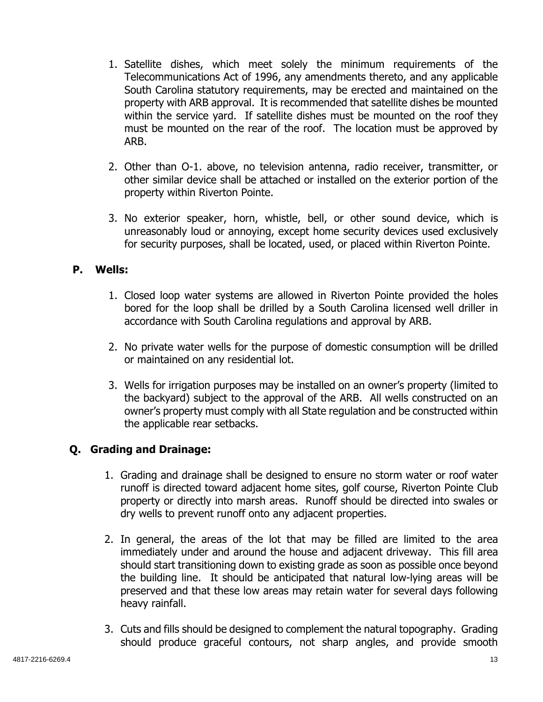- 1. Satellite dishes, which meet solely the minimum requirements of the Telecommunications Act of 1996, any amendments thereto, and any applicable South Carolina statutory requirements, may be erected and maintained on the property with ARB approval. It is recommended that satellite dishes be mounted within the service yard. If satellite dishes must be mounted on the roof they must be mounted on the rear of the roof. The location must be approved by ARB.
- 2. Other than O-1. above, no television antenna, radio receiver, transmitter, or other similar device shall be attached or installed on the exterior portion of the property within Riverton Pointe.
- 3. No exterior speaker, horn, whistle, bell, or other sound device, which is unreasonably loud or annoying, except home security devices used exclusively for security purposes, shall be located, used, or placed within Riverton Pointe.

## **P. Wells:**

- 1. Closed loop water systems are allowed in Riverton Pointe provided the holes bored for the loop shall be drilled by a South Carolina licensed well driller in accordance with South Carolina regulations and approval by ARB.
- 2. No private water wells for the purpose of domestic consumption will be drilled or maintained on any residential lot.
- 3. Wells for irrigation purposes may be installed on an owner's property (limited to the backyard) subject to the approval of the ARB. All wells constructed on an owner's property must comply with all State regulation and be constructed within the applicable rear setbacks.

# **Q. Grading and Drainage:**

- 1. Grading and drainage shall be designed to ensure no storm water or roof water runoff is directed toward adjacent home sites, golf course, Riverton Pointe Club property or directly into marsh areas. Runoff should be directed into swales or dry wells to prevent runoff onto any adjacent properties.
- 2. In general, the areas of the lot that may be filled are limited to the area immediately under and around the house and adjacent driveway. This fill area should start transitioning down to existing grade as soon as possible once beyond the building line. It should be anticipated that natural low-lying areas will be preserved and that these low areas may retain water for several days following heavy rainfall.
- 3. Cuts and fills should be designed to complement the natural topography. Grading should produce graceful contours, not sharp angles, and provide smooth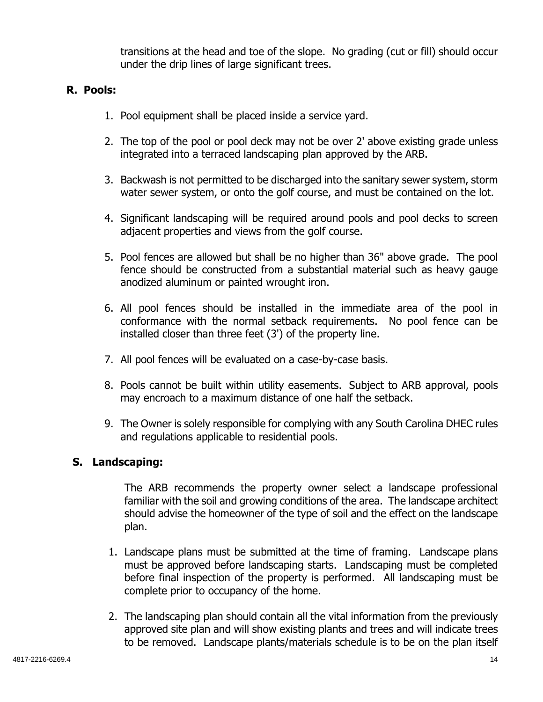transitions at the head and toe of the slope. No grading (cut or fill) should occur under the drip lines of large significant trees.

## **R. Pools:**

- 1. Pool equipment shall be placed inside a service yard.
- 2. The top of the pool or pool deck may not be over 2' above existing grade unless integrated into a terraced landscaping plan approved by the ARB.
- 3. Backwash is not permitted to be discharged into the sanitary sewer system, storm water sewer system, or onto the golf course, and must be contained on the lot.
- 4. Significant landscaping will be required around pools and pool decks to screen adjacent properties and views from the golf course.
- 5. Pool fences are allowed but shall be no higher than 36" above grade. The pool fence should be constructed from a substantial material such as heavy gauge anodized aluminum or painted wrought iron.
- 6. All pool fences should be installed in the immediate area of the pool in conformance with the normal setback requirements. No pool fence can be installed closer than three feet (3') of the property line.
- 7. All pool fences will be evaluated on a case-by-case basis.
- 8. Pools cannot be built within utility easements. Subject to ARB approval, pools may encroach to a maximum distance of one half the setback.
- 9. The Owner is solely responsible for complying with any South Carolina DHEC rules and regulations applicable to residential pools.

# **S. Landscaping:**

The ARB recommends the property owner select a landscape professional familiar with the soil and growing conditions of the area. The landscape architect should advise the homeowner of the type of soil and the effect on the landscape plan.

- 1. Landscape plans must be submitted at the time of framing. Landscape plans must be approved before landscaping starts. Landscaping must be completed before final inspection of the property is performed. All landscaping must be complete prior to occupancy of the home.
- 2. The landscaping plan should contain all the vital information from the previously approved site plan and will show existing plants and trees and will indicate trees to be removed. Landscape plants/materials schedule is to be on the plan itself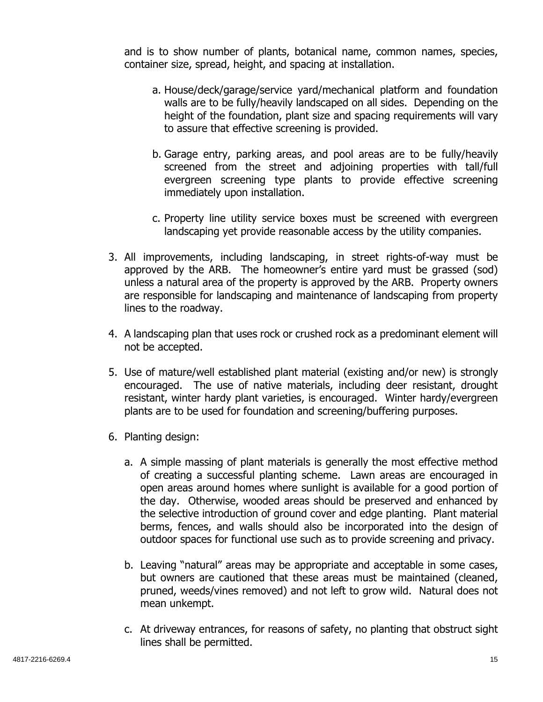and is to show number of plants, botanical name, common names, species, container size, spread, height, and spacing at installation.

- a. House/deck/garage/service yard/mechanical platform and foundation walls are to be fully/heavily landscaped on all sides. Depending on the height of the foundation, plant size and spacing requirements will vary to assure that effective screening is provided.
- b. Garage entry, parking areas, and pool areas are to be fully/heavily screened from the street and adjoining properties with tall/full evergreen screening type plants to provide effective screening immediately upon installation.
- c. Property line utility service boxes must be screened with evergreen landscaping yet provide reasonable access by the utility companies.
- 3. All improvements, including landscaping, in street rights-of-way must be approved by the ARB. The homeowner's entire yard must be grassed (sod) unless a natural area of the property is approved by the ARB. Property owners are responsible for landscaping and maintenance of landscaping from property lines to the roadway.
- 4. A landscaping plan that uses rock or crushed rock as a predominant element will not be accepted.
- 5. Use of mature/well established plant material (existing and/or new) is strongly encouraged. The use of native materials, including deer resistant, drought resistant, winter hardy plant varieties, is encouraged. Winter hardy/evergreen plants are to be used for foundation and screening/buffering purposes.
- 6. Planting design:
	- a. A simple massing of plant materials is generally the most effective method of creating a successful planting scheme. Lawn areas are encouraged in open areas around homes where sunlight is available for a good portion of the day. Otherwise, wooded areas should be preserved and enhanced by the selective introduction of ground cover and edge planting. Plant material berms, fences, and walls should also be incorporated into the design of outdoor spaces for functional use such as to provide screening and privacy.
	- b. Leaving "natural" areas may be appropriate and acceptable in some cases, but owners are cautioned that these areas must be maintained (cleaned, pruned, weeds/vines removed) and not left to grow wild. Natural does not mean unkempt.
	- c. At driveway entrances, for reasons of safety, no planting that obstruct sight lines shall be permitted.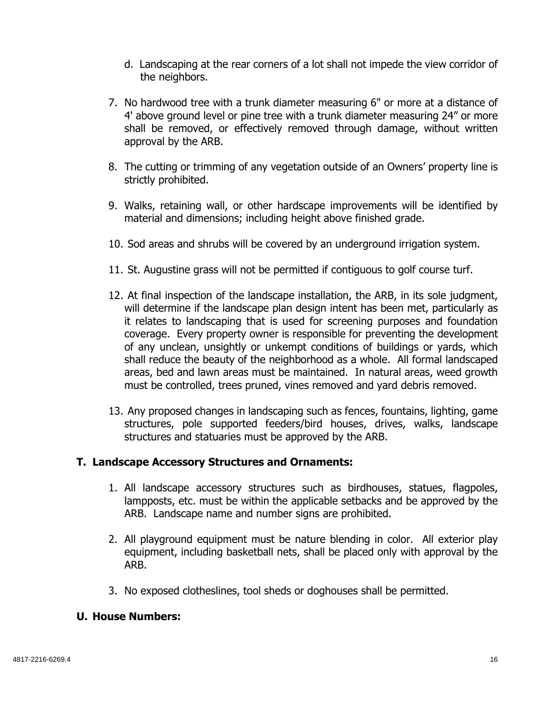- d. Landscaping at the rear corners of a lot shall not impede the view corridor of the neighbors.
- 7. No hardwood tree with a trunk diameter measuring 6" or more at a distance of 4' above ground level or pine tree with a trunk diameter measuring 24" or more shall be removed, or effectively removed through damage, without written approval by the ARB.
- 8. The cutting or trimming of any vegetation outside of an Owners' property line is strictly prohibited.
- 9. Walks, retaining wall, or other hardscape improvements will be identified by material and dimensions; including height above finished grade.
- 10. Sod areas and shrubs will be covered by an underground irrigation system.
- 11. St. Augustine grass will not be permitted if contiguous to golf course turf.
- 12. At final inspection of the landscape installation, the ARB, in its sole judgment, will determine if the landscape plan design intent has been met, particularly as it relates to landscaping that is used for screening purposes and foundation coverage. Every property owner is responsible for preventing the development of any unclean, unsightly or unkempt conditions of buildings or yards, which shall reduce the beauty of the neighborhood as a whole. All formal landscaped areas, bed and lawn areas must be maintained. In natural areas, weed growth must be controlled, trees pruned, vines removed and yard debris removed.
- 13. Any proposed changes in landscaping such as fences, fountains, lighting, game structures, pole supported feeders/bird houses, drives, walks, landscape structures and statuaries must be approved by the ARB.

## **T. Landscape Accessory Structures and Ornaments:**

- 1. All landscape accessory structures such as birdhouses, statues, flagpoles, lampposts, etc. must be within the applicable setbacks and be approved by the ARB. Landscape name and number signs are prohibited.
- 2. All playground equipment must be nature blending in color. All exterior play equipment, including basketball nets, shall be placed only with approval by the ARB.
- 3. No exposed clotheslines, tool sheds or doghouses shall be permitted.

#### **U. House Numbers:**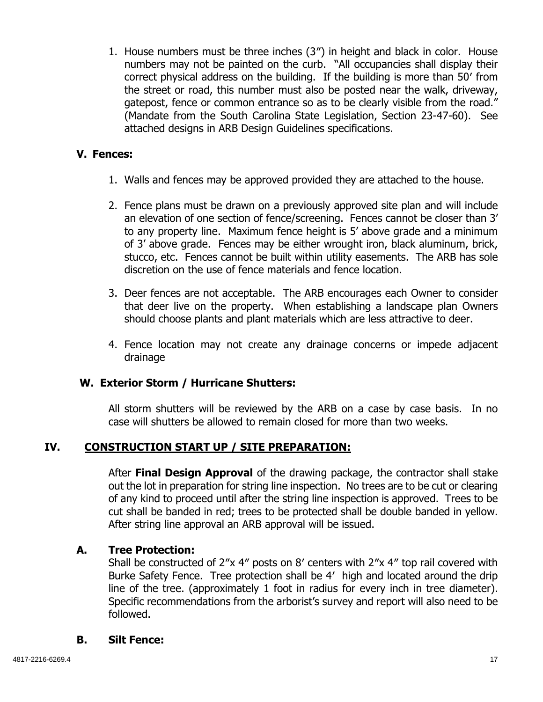1. House numbers must be three inches (3″) in height and black in color. House numbers may not be painted on the curb. "All occupancies shall display their correct physical address on the building. If the building is more than 50′ from the street or road, this number must also be posted near the walk, driveway, gatepost, fence or common entrance so as to be clearly visible from the road." (Mandate from the South Carolina State Legislation, Section 23-47-60). See attached designs in ARB Design Guidelines specifications.

#### **V. Fences:**

- 1. Walls and fences may be approved provided they are attached to the house.
- 2. Fence plans must be drawn on a previously approved site plan and will include an elevation of one section of fence/screening. Fences cannot be closer than 3' to any property line. Maximum fence height is 5' above grade and a minimum of 3' above grade. Fences may be either wrought iron, black aluminum, brick, stucco, etc. Fences cannot be built within utility easements. The ARB has sole discretion on the use of fence materials and fence location.
- 3. Deer fences are not acceptable. The ARB encourages each Owner to consider that deer live on the property. When establishing a landscape plan Owners should choose plants and plant materials which are less attractive to deer.
- 4. Fence location may not create any drainage concerns or impede adjacent drainage

#### **W. Exterior Storm / Hurricane Shutters:**

All storm shutters will be reviewed by the ARB on a case by case basis. In no case will shutters be allowed to remain closed for more than two weeks.

## **IV. CONSTRUCTION START UP / SITE PREPARATION:**

After **Final Design Approval** of the drawing package, the contractor shall stake out the lot in preparation for string line inspection. No trees are to be cut or clearing of any kind to proceed until after the string line inspection is approved. Trees to be cut shall be banded in red; trees to be protected shall be double banded in yellow. After string line approval an ARB approval will be issued.

## **A. Tree Protection:**

Shall be constructed of 2″x 4″ posts on 8′ centers with 2″x 4″ top rail covered with Burke Safety Fence. Tree protection shall be 4′ high and located around the drip line of the tree. (approximately 1 foot in radius for every inch in tree diameter). Specific recommendations from the arborist's survey and report will also need to be followed.

#### **B. Silt Fence:**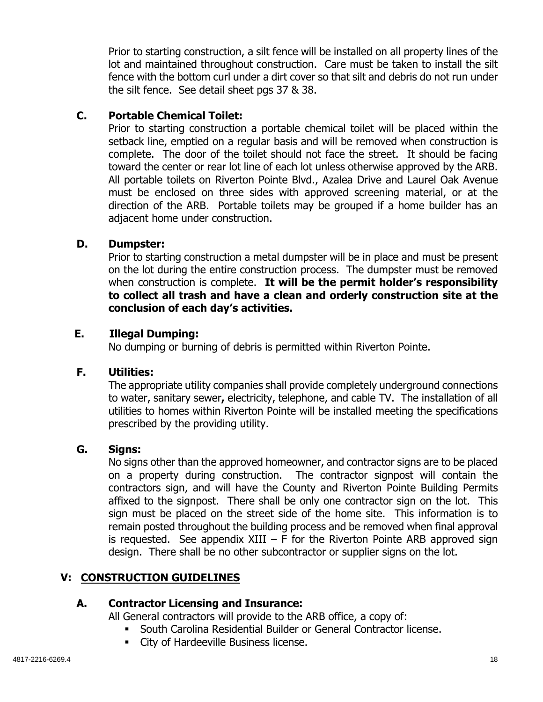Prior to starting construction, a silt fence will be installed on all property lines of the lot and maintained throughout construction. Care must be taken to install the silt fence with the bottom curl under a dirt cover so that silt and debris do not run under the silt fence. See detail sheet pgs 37 & 38.

## **C. Portable Chemical Toilet:**

Prior to starting construction a portable chemical toilet will be placed within the setback line, emptied on a regular basis and will be removed when construction is complete. The door of the toilet should not face the street. It should be facing toward the center or rear lot line of each lot unless otherwise approved by the ARB. All portable toilets on Riverton Pointe Blvd., Azalea Drive and Laurel Oak Avenue must be enclosed on three sides with approved screening material, or at the direction of the ARB. Portable toilets may be grouped if a home builder has an adjacent home under construction.

## **D. Dumpster:**

Prior to starting construction a metal dumpster will be in place and must be present on the lot during the entire construction process. The dumpster must be removed when construction is complete. **It will be the permit holder's responsibility to collect all trash and have a clean and orderly construction site at the conclusion of each day's activities.** 

## **E. Illegal Dumping:**

No dumping or burning of debris is permitted within Riverton Pointe.

# **F. Utilities:**

 The appropriate utility companies shall provide completely underground connections to water, sanitary sewer**,** electricity, telephone, and cable TV. The installation of all utilities to homes within Riverton Pointe will be installed meeting the specifications prescribed by the providing utility.

# **G. Signs:**

No signs other than the approved homeowner, and contractor signs are to be placed on a property during construction. The contractor signpost will contain the contractors sign, and will have the County and Riverton Pointe Building Permits affixed to the signpost. There shall be only one contractor sign on the lot. This sign must be placed on the street side of the home site. This information is to remain posted throughout the building process and be removed when final approval is requested. See appendix  $XIII - F$  for the Riverton Pointe ARB approved sign design. There shall be no other subcontractor or supplier signs on the lot.

# **V: CONSTRUCTION GUIDELINES**

# **A. Contractor Licensing and Insurance:**

All General contractors will provide to the ARB office, a copy of:

- South Carolina Residential Builder or General Contractor license.
- **EXECT:** City of Hardeeville Business license.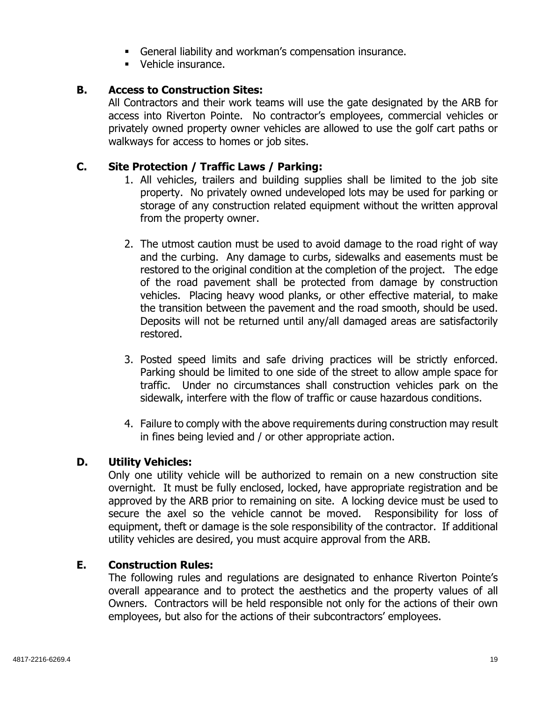- General liability and workman's compensation insurance.
- Vehicle insurance.

#### **B. Access to Construction Sites:**

All Contractors and their work teams will use the gate designated by the ARB for access into Riverton Pointe. No contractor's employees, commercial vehicles or privately owned property owner vehicles are allowed to use the golf cart paths or walkways for access to homes or job sites.

#### **C. Site Protection / Traffic Laws / Parking:**

- 1. All vehicles, trailers and building supplies shall be limited to the job site property. No privately owned undeveloped lots may be used for parking or storage of any construction related equipment without the written approval from the property owner.
- 2. The utmost caution must be used to avoid damage to the road right of way and the curbing. Any damage to curbs, sidewalks and easements must be restored to the original condition at the completion of the project. The edge of the road pavement shall be protected from damage by construction vehicles. Placing heavy wood planks, or other effective material, to make the transition between the pavement and the road smooth, should be used. Deposits will not be returned until any/all damaged areas are satisfactorily restored.
- 3. Posted speed limits and safe driving practices will be strictly enforced. Parking should be limited to one side of the street to allow ample space for traffic. Under no circumstances shall construction vehicles park on the sidewalk, interfere with the flow of traffic or cause hazardous conditions.
- 4. Failure to comply with the above requirements during construction may result in fines being levied and / or other appropriate action.

#### **D. Utility Vehicles:**

Only one utility vehicle will be authorized to remain on a new construction site overnight. It must be fully enclosed, locked, have appropriate registration and be approved by the ARB prior to remaining on site. A locking device must be used to secure the axel so the vehicle cannot be moved. Responsibility for loss of equipment, theft or damage is the sole responsibility of the contractor. If additional utility vehicles are desired, you must acquire approval from the ARB.

#### **E. Construction Rules:**

The following rules and regulations are designated to enhance Riverton Pointe's overall appearance and to protect the aesthetics and the property values of all Owners. Contractors will be held responsible not only for the actions of their own employees, but also for the actions of their subcontractors' employees.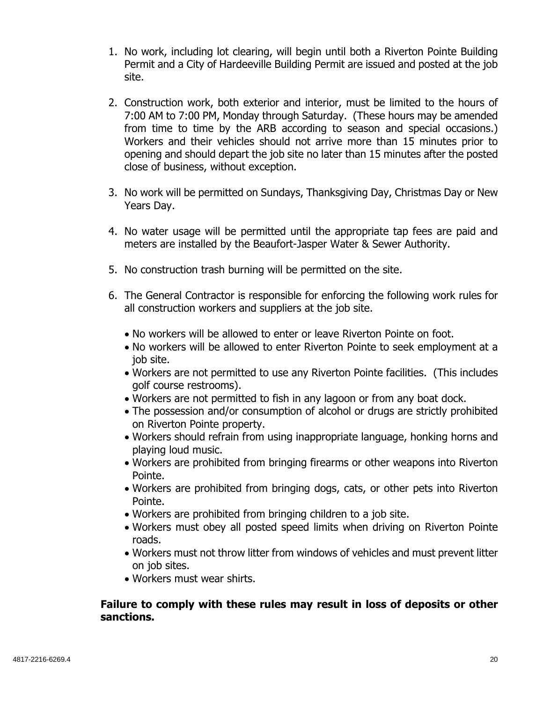- 1. No work, including lot clearing, will begin until both a Riverton Pointe Building Permit and a City of Hardeeville Building Permit are issued and posted at the job site.
- 2. Construction work, both exterior and interior, must be limited to the hours of 7:00 AM to 7:00 PM, Monday through Saturday. (These hours may be amended from time to time by the ARB according to season and special occasions.) Workers and their vehicles should not arrive more than 15 minutes prior to opening and should depart the job site no later than 15 minutes after the posted close of business, without exception.
- 3. No work will be permitted on Sundays, Thanksgiving Day, Christmas Day or New Years Day.
- 4. No water usage will be permitted until the appropriate tap fees are paid and meters are installed by the Beaufort-Jasper Water & Sewer Authority.
- 5. No construction trash burning will be permitted on the site.
- 6. The General Contractor is responsible for enforcing the following work rules for all construction workers and suppliers at the job site.
	- No workers will be allowed to enter or leave Riverton Pointe on foot.
	- No workers will be allowed to enter Riverton Pointe to seek employment at a job site.
	- Workers are not permitted to use any Riverton Pointe facilities. (This includes golf course restrooms).
	- Workers are not permitted to fish in any lagoon or from any boat dock.
	- The possession and/or consumption of alcohol or drugs are strictly prohibited on Riverton Pointe property.
	- Workers should refrain from using inappropriate language, honking horns and playing loud music.
	- Workers are prohibited from bringing firearms or other weapons into Riverton Pointe.
	- Workers are prohibited from bringing dogs, cats, or other pets into Riverton Pointe.
	- Workers are prohibited from bringing children to a job site.
	- Workers must obey all posted speed limits when driving on Riverton Pointe roads.
	- Workers must not throw litter from windows of vehicles and must prevent litter on job sites.
	- Workers must wear shirts.

#### **Failure to comply with these rules may result in loss of deposits or other sanctions.**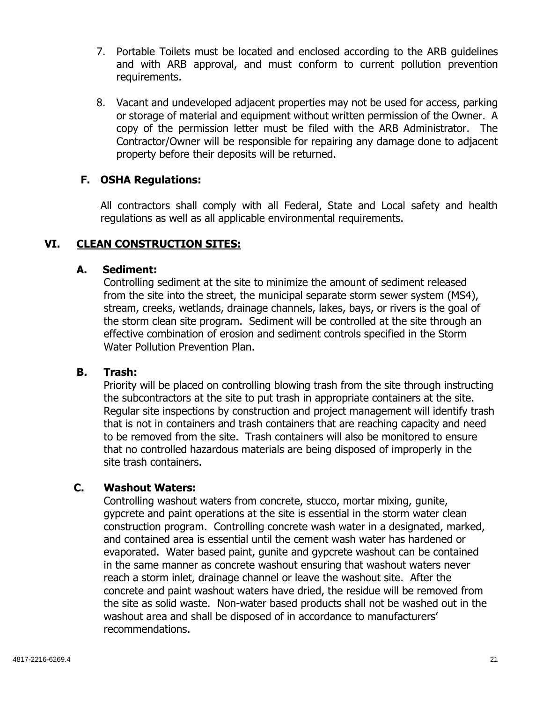- 7. Portable Toilets must be located and enclosed according to the ARB guidelines and with ARB approval, and must conform to current pollution prevention requirements.
- 8. Vacant and undeveloped adjacent properties may not be used for access, parking or storage of material and equipment without written permission of the Owner. A copy of the permission letter must be filed with the ARB Administrator. The Contractor/Owner will be responsible for repairing any damage done to adjacent property before their deposits will be returned.

#### **F. OSHA Regulations:**

 All contractors shall comply with all Federal, State and Local safety and health regulations as well as all applicable environmental requirements.

#### **VI. CLEAN CONSTRUCTION SITES:**

#### **A. Sediment:**

Controlling sediment at the site to minimize the amount of sediment released from the site into the street, the municipal separate storm sewer system (MS4), stream, creeks, wetlands, drainage channels, lakes, bays, or rivers is the goal of the storm clean site program. Sediment will be controlled at the site through an effective combination of erosion and sediment controls specified in the Storm Water Pollution Prevention Plan.

#### **B. Trash:**

Priority will be placed on controlling blowing trash from the site through instructing the subcontractors at the site to put trash in appropriate containers at the site. Regular site inspections by construction and project management will identify trash that is not in containers and trash containers that are reaching capacity and need to be removed from the site. Trash containers will also be monitored to ensure that no controlled hazardous materials are being disposed of improperly in the site trash containers.

#### **C. Washout Waters:**

Controlling washout waters from concrete, stucco, mortar mixing, gunite, gypcrete and paint operations at the site is essential in the storm water clean construction program. Controlling concrete wash water in a designated, marked, and contained area is essential until the cement wash water has hardened or evaporated. Water based paint, gunite and gypcrete washout can be contained in the same manner as concrete washout ensuring that washout waters never reach a storm inlet, drainage channel or leave the washout site. After the concrete and paint washout waters have dried, the residue will be removed from the site as solid waste. Non-water based products shall not be washed out in the washout area and shall be disposed of in accordance to manufacturers' recommendations.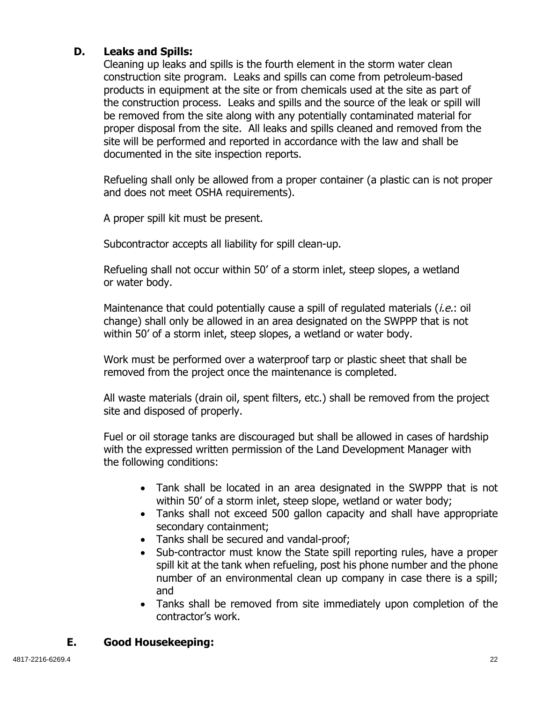## **D. Leaks and Spills:**

Cleaning up leaks and spills is the fourth element in the storm water clean construction site program. Leaks and spills can come from petroleum-based products in equipment at the site or from chemicals used at the site as part of the construction process. Leaks and spills and the source of the leak or spill will be removed from the site along with any potentially contaminated material for proper disposal from the site. All leaks and spills cleaned and removed from the site will be performed and reported in accordance with the law and shall be documented in the site inspection reports.

Refueling shall only be allowed from a proper container (a plastic can is not proper and does not meet OSHA requirements).

A proper spill kit must be present.

Subcontractor accepts all liability for spill clean-up.

Refueling shall not occur within 50' of a storm inlet, steep slopes, a wetland or water body.

Maintenance that could potentially cause a spill of regulated materials *(i.e.*: oil change) shall only be allowed in an area designated on the SWPPP that is not within 50' of a storm inlet, steep slopes, a wetland or water body.

Work must be performed over a waterproof tarp or plastic sheet that shall be removed from the project once the maintenance is completed.

All waste materials (drain oil, spent filters, etc.) shall be removed from the project site and disposed of properly.

Fuel or oil storage tanks are discouraged but shall be allowed in cases of hardship with the expressed written permission of the Land Development Manager with the following conditions:

- Tank shall be located in an area designated in the SWPPP that is not within 50' of a storm inlet, steep slope, wetland or water body;
- Tanks shall not exceed 500 gallon capacity and shall have appropriate secondary containment;
- Tanks shall be secured and vandal-proof;
- Sub-contractor must know the State spill reporting rules, have a proper spill kit at the tank when refueling, post his phone number and the phone number of an environmental clean up company in case there is a spill; and
- Tanks shall be removed from site immediately upon completion of the contractor's work.

# **E. Good Housekeeping:**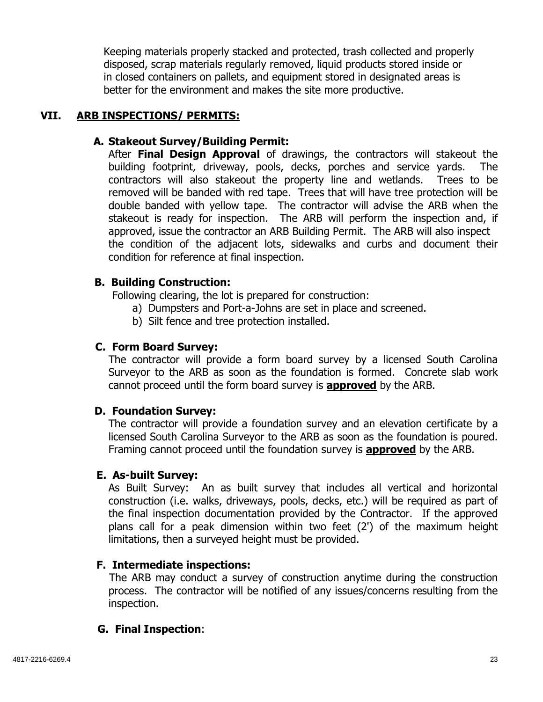Keeping materials properly stacked and protected, trash collected and properly disposed, scrap materials regularly removed, liquid products stored inside or in closed containers on pallets, and equipment stored in designated areas is better for the environment and makes the site more productive.

## **VII. ARB INSPECTIONS/ PERMITS:**

## **A. Stakeout Survey/Building Permit:**

After **Final Design Approval** of drawings, the contractors will stakeout the building footprint, driveway, pools, decks, porches and service yards. The contractors will also stakeout the property line and wetlands. Trees to be removed will be banded with red tape. Trees that will have tree protection will be double banded with yellow tape. The contractor will advise the ARB when the stakeout is ready for inspection. The ARB will perform the inspection and, if approved, issue the contractor an ARB Building Permit. The ARB will also inspect the condition of the adjacent lots, sidewalks and curbs and document their condition for reference at final inspection.

## **B. Building Construction:**

Following clearing, the lot is prepared for construction:

- a) Dumpsters and Port-a-Johns are set in place and screened.
- b) Silt fence and tree protection installed.

# **C. Form Board Survey:**

The contractor will provide a form board survey by a licensed South Carolina Surveyor to the ARB as soon as the foundation is formed. Concrete slab work cannot proceed until the form board survey is **approved** by the ARB.

## **D. Foundation Survey:**

The contractor will provide a foundation survey and an elevation certificate by a licensed South Carolina Surveyor to the ARB as soon as the foundation is poured. Framing cannot proceed until the foundation survey is **approved** by the ARB.

## **E. As-built Survey:**

As Built Survey: An as built survey that includes all vertical and horizontal construction (i.e. walks, driveways, pools, decks, etc.) will be required as part of the final inspection documentation provided by the Contractor. If the approved plans call for a peak dimension within two feet (2') of the maximum height limitations, then a surveyed height must be provided.

# **F. Intermediate inspections:**

The ARB may conduct a survey of construction anytime during the construction process. The contractor will be notified of any issues/concerns resulting from the inspection.

# **G. Final Inspection**: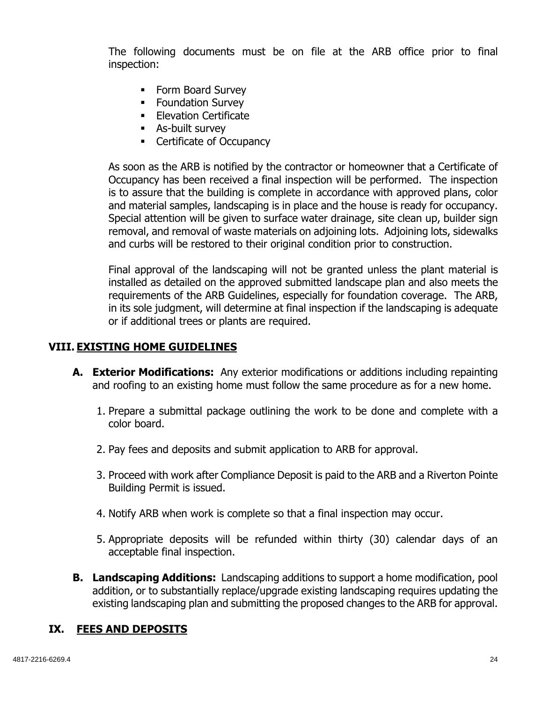The following documents must be on file at the ARB office prior to final inspection:

- Form Board Survey
- **Foundation Survey**
- **Elevation Certificate**
- As-built survey
- **Certificate of Occupancy**

As soon as the ARB is notified by the contractor or homeowner that a Certificate of Occupancy has been received a final inspection will be performed. The inspection is to assure that the building is complete in accordance with approved plans, color and material samples, landscaping is in place and the house is ready for occupancy. Special attention will be given to surface water drainage, site clean up, builder sign removal, and removal of waste materials on adjoining lots. Adjoining lots, sidewalks and curbs will be restored to their original condition prior to construction.

Final approval of the landscaping will not be granted unless the plant material is installed as detailed on the approved submitted landscape plan and also meets the requirements of the ARB Guidelines, especially for foundation coverage. The ARB, in its sole judgment, will determine at final inspection if the landscaping is adequate or if additional trees or plants are required.

#### **VIII. EXISTING HOME GUIDELINES**

- **A. Exterior Modifications:** Any exterior modifications or additions including repainting and roofing to an existing home must follow the same procedure as for a new home.
	- 1. Prepare a submittal package outlining the work to be done and complete with a color board.
	- 2. Pay fees and deposits and submit application to ARB for approval.
	- 3. Proceed with work after Compliance Deposit is paid to the ARB and a Riverton Pointe Building Permit is issued.
	- 4. Notify ARB when work is complete so that a final inspection may occur.
	- 5. Appropriate deposits will be refunded within thirty (30) calendar days of an acceptable final inspection.
- **B. Landscaping Additions:** Landscaping additions to support a home modification, pool addition, or to substantially replace/upgrade existing landscaping requires updating the existing landscaping plan and submitting the proposed changes to the ARB for approval.

#### **IX. FEES AND DEPOSITS**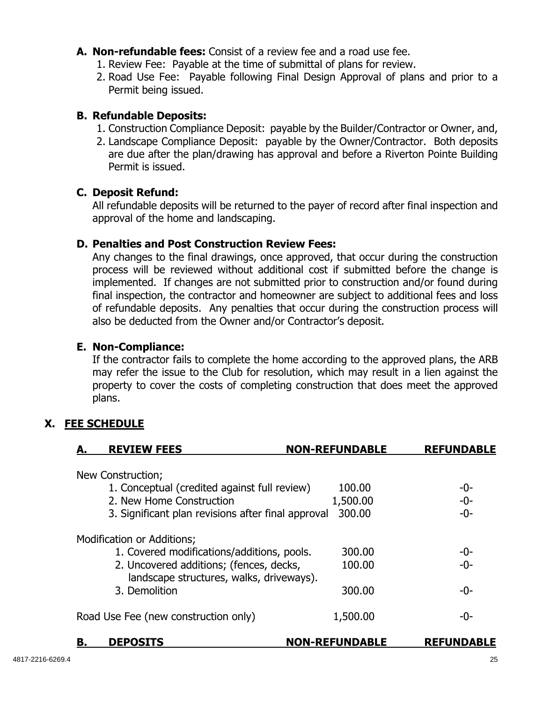- **A. Non-refundable fees:** Consist of a review fee and a road use fee.
	- 1. Review Fee: Payable at the time of submittal of plans for review.
	- 2. Road Use Fee: Payable following Final Design Approval of plans and prior to a Permit being issued.

#### **B. Refundable Deposits:**

- 1. Construction Compliance Deposit: payable by the Builder/Contractor or Owner, and,
- 2. Landscape Compliance Deposit: payable by the Owner/Contractor. Both deposits are due after the plan/drawing has approval and before a Riverton Pointe Building Permit is issued.

#### **C. Deposit Refund:**

All refundable deposits will be returned to the payer of record after final inspection and approval of the home and landscaping.

#### **D. Penalties and Post Construction Review Fees:**

Any changes to the final drawings, once approved, that occur during the construction process will be reviewed without additional cost if submitted before the change is implemented. If changes are not submitted prior to construction and/or found during final inspection, the contractor and homeowner are subject to additional fees and loss of refundable deposits. Any penalties that occur during the construction process will also be deducted from the Owner and/or Contractor's deposit.

#### **E. Non-Compliance:**

If the contractor fails to complete the home according to the approved plans, the ARB may refer the issue to the Club for resolution, which may result in a lien against the property to cover the costs of completing construction that does meet the approved plans.

# **X. FEE SCHEDULE**

| <b>REVIEW FEES</b>                                                                  | <b>NON-REFUNDABLE</b> | <b>REFUNDABLE</b> |
|-------------------------------------------------------------------------------------|-----------------------|-------------------|
| New Construction;                                                                   |                       |                   |
| 1. Conceptual (credited against full review)                                        | 100.00                | -0-               |
| 2. New Home Construction                                                            | 1,500.00              | $-0-$             |
| 3. Significant plan revisions after final approval                                  | 300.00                | $-0-$             |
| Modification or Additions;                                                          |                       |                   |
| 1. Covered modifications/additions, pools.                                          | 300.00                | -0-               |
| 2. Uncovered additions; (fences, decks,<br>landscape structures, walks, driveways). | 100.00                | $-0-$             |
| 3. Demolition                                                                       | 300.00                | -0-               |
| Road Use Fee (new construction only)                                                | 1,500.00              | -0-               |
| В.<br><b>DEPOSITS</b>                                                               | <b>NON-REFUNDABLE</b> | <b>REFUNDABLE</b> |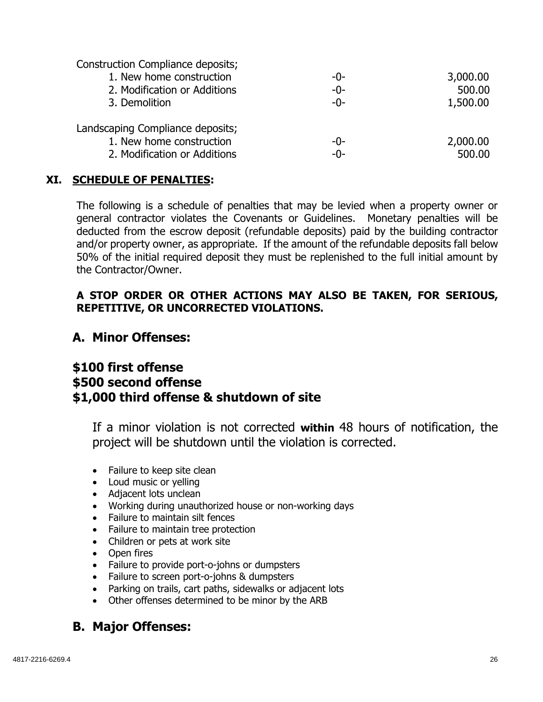Construction Compliance deposits;

| 1. New home construction         | -0-   | 3,000.00 |
|----------------------------------|-------|----------|
| 2. Modification or Additions     | -0-   | 500.00   |
| 3. Demolition                    | $-0-$ | 1,500.00 |
| Landscaping Compliance deposits; |       |          |
| 1. New home construction         | -0-   | 2,000.00 |
| 2. Modification or Additions     | -0-   | 500.00   |

## **XI. SCHEDULE OF PENALTIES:**

The following is a schedule of penalties that may be levied when a property owner or general contractor violates the Covenants or Guidelines. Monetary penalties will be deducted from the escrow deposit (refundable deposits) paid by the building contractor and/or property owner, as appropriate. If the amount of the refundable deposits fall below 50% of the initial required deposit they must be replenished to the full initial amount by the Contractor/Owner.

#### **A STOP ORDER OR OTHER ACTIONS MAY ALSO BE TAKEN, FOR SERIOUS, REPETITIVE, OR UNCORRECTED VIOLATIONS.**

# **A. Minor Offenses:**

# **\$100 first offense \$500 second offense \$1,000 third offense & shutdown of site**

If a minor violation is not corrected **within** 48 hours of notification, the project will be shutdown until the violation is corrected.

- Failure to keep site clean
- Loud music or yelling
- Adjacent lots unclean
- Working during unauthorized house or non-working days
- Failure to maintain silt fences
- Failure to maintain tree protection
- Children or pets at work site
- Open fires
- Failure to provide port-o-johns or dumpsters
- Failure to screen port-o-johns & dumpsters
- Parking on trails, cart paths, sidewalks or adjacent lots
- Other offenses determined to be minor by the ARB

# **B. Major Offenses:**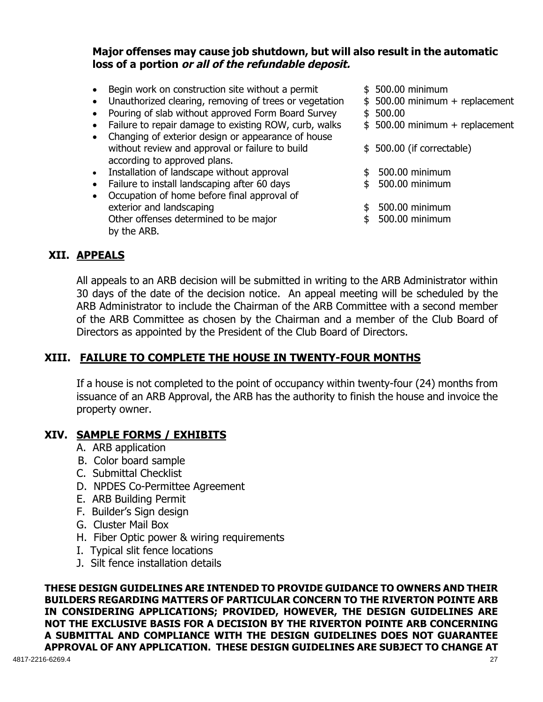## **Major offenses may cause job shutdown, but will also result in the automatic loss of a portion or all of the refundable deposit.**

- Begin work on construction site without a permit  $$500.00$  minimum
- Unauthorized clearing, removing of trees or vegetation  $\quad$  \$ 500.00 minimum + replacement
- Pouring of slab without approved Form Board Survey \$ 500.00
- Failure to repair damage to existing ROW, curb, walks  $\qquad$  \$ 500.00 minimum + replacement
- Changing of exterior design or appearance of house without review and approval or failure to build  $$500.00$  (if correctable) according to approved plans.
- Installation of landscape without approval  $\qquad \qquad$  \$ 500.00 minimum
- Failure to install landscaping after 60 days **\$** 500.00 minimum
- Occupation of home before final approval of exterior and landscaping exterior and landscaping the state of the state of the state of the state of the state of the state of the state of the state of the state of the state of the state of the state of the state of the Other offenses determined to be major  $$500.00$  minimum by the ARB.
- 
- 
- 
- 
- 
- 
- 
- 
- 

#### **XII. APPEALS**

All appeals to an ARB decision will be submitted in writing to the ARB Administrator within 30 days of the date of the decision notice. An appeal meeting will be scheduled by the ARB Administrator to include the Chairman of the ARB Committee with a second member of the ARB Committee as chosen by the Chairman and a member of the Club Board of Directors as appointed by the President of the Club Board of Directors.

## **XIII. FAILURE TO COMPLETE THE HOUSE IN TWENTY-FOUR MONTHS**

If a house is not completed to the point of occupancy within twenty-four (24) months from issuance of an ARB Approval, the ARB has the authority to finish the house and invoice the property owner.

## **XIV. SAMPLE FORMS / EXHIBITS**

- A. ARB application
- B. Color board sample
- C. Submittal Checklist
- D. NPDES Co-Permittee Agreement
- E. ARB Building Permit
- F. Builder's Sign design
- G. Cluster Mail Box
- H. Fiber Optic power & wiring requirements
- I. Typical slit fence locations
- J. Silt fence installation details

4817-2216-6269.4 27 **THESE DESIGN GUIDELINES ARE INTENDED TO PROVIDE GUIDANCE TO OWNERS AND THEIR BUILDERS REGARDING MATTERS OF PARTICULAR CONCERN TO THE RIVERTON POINTE ARB IN CONSIDERING APPLICATIONS; PROVIDED, HOWEVER, THE DESIGN GUIDELINES ARE NOT THE EXCLUSIVE BASIS FOR A DECISION BY THE RIVERTON POINTE ARB CONCERNING A SUBMITTAL AND COMPLIANCE WITH THE DESIGN GUIDELINES DOES NOT GUARANTEE APPROVAL OF ANY APPLICATION. THESE DESIGN GUIDELINES ARE SUBJECT TO CHANGE AT**